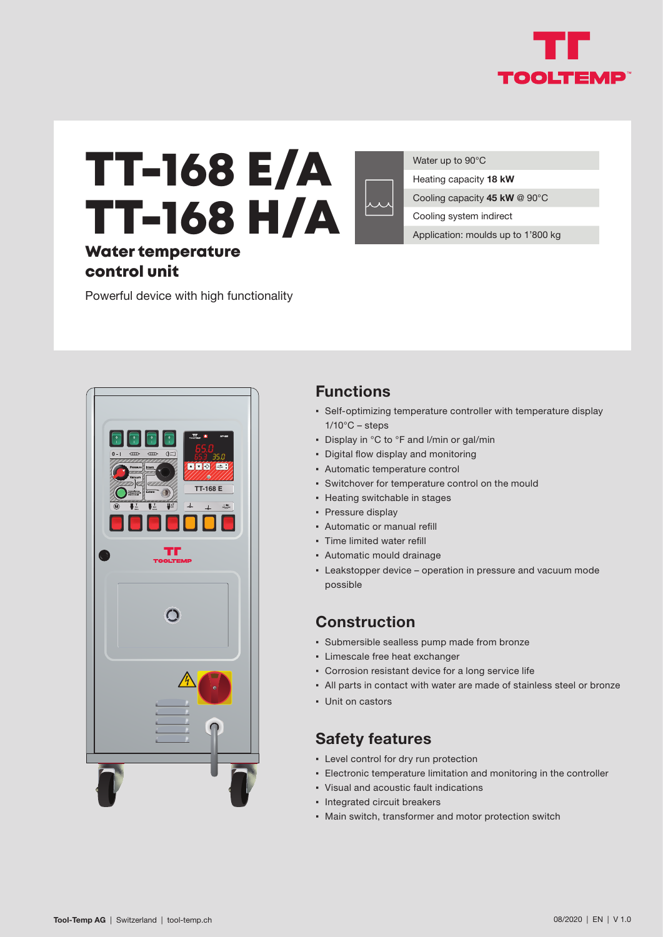

# TT-168 E/A TT-168 H/A

Water temperature control unit

Powerful device with high functionality

 $E$ **DDD TT-168 E**  $\overline{1}$ 

**Functions**

▪ Self-optimizing temperature controller with temperature display  $1/10^{\circ}$ C – steps

Water up to 90°C

Heating capacity **18 kW**

Cooling system indirect

Cooling capacity **45 kW** @ 90°C

Application: moulds up to 1'800 kg

- Display in °C to °F and I/min or gal/min
- Digital flow display and monitoring
- Automatic temperature control
- Switchover for temperature control on the mould
- Heating switchable in stages
- Pressure display
- Automatic or manual refill
- Time limited water refill
- Automatic mould drainage
- **Eakstopper device operation in pressure and vacuum mode** possible

#### **Construction**

- Submersible sealless pump made from bronze
- Limescale free heat exchanger
- Corrosion resistant device for a long service life
- All parts in contact with water are made of stainless steel or bronze
- Unit on castors

#### **Safety features**

- Level control for dry run protection
- **Electronic temperature limitation and monitoring in the controller**
- Visual and acoustic fault indications
- Integrated circuit breakers
- Main switch, transformer and motor protection switch